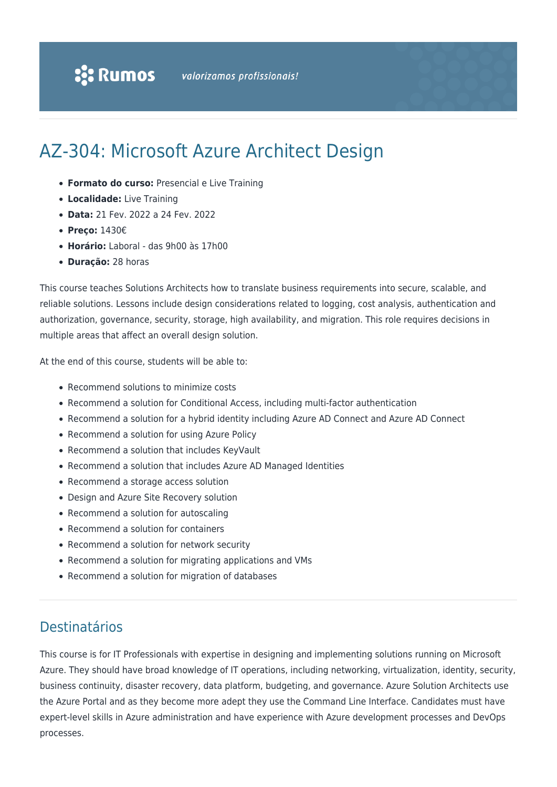# AZ-304: Microsoft Azure Architect Design

- **Formato do curso:** Presencial e Live Training
- **Localidade:** Live Training
- **Data:** 21 Fev. 2022 a 24 Fev. 2022
- **Preço:** 1430€
- **Horário:** Laboral das 9h00 às 17h00
- **Duração:** 28 horas

This course teaches Solutions Architects how to translate business requirements into secure, scalable, and reliable solutions. Lessons include design considerations related to logging, cost analysis, authentication and authorization, governance, security, storage, high availability, and migration. This role requires decisions in multiple areas that affect an overall design solution.

At the end of this course, students will be able to:

- Recommend solutions to minimize costs
- Recommend a solution for Conditional Access, including multi-factor authentication
- Recommend a solution for a hybrid identity including Azure AD Connect and Azure AD Connect
- Recommend a solution for using Azure Policy
- Recommend a solution that includes KeyVault
- Recommend a solution that includes Azure AD Managed Identities
- Recommend a storage access solution
- Design and Azure Site Recovery solution
- Recommend a solution for autoscaling
- Recommend a solution for containers
- Recommend a solution for network security
- Recommend a solution for migrating applications and VMs
- Recommend a solution for migration of databases

### Destinatários

This course is for IT Professionals with expertise in designing and implementing solutions running on Microsoft Azure. They should have broad knowledge of IT operations, including networking, virtualization, identity, security, business continuity, disaster recovery, data platform, budgeting, and governance. Azure Solution Architects use the Azure Portal and as they become more adept they use the Command Line Interface. Candidates must have expert-level skills in Azure administration and have experience with Azure development processes and DevOps processes.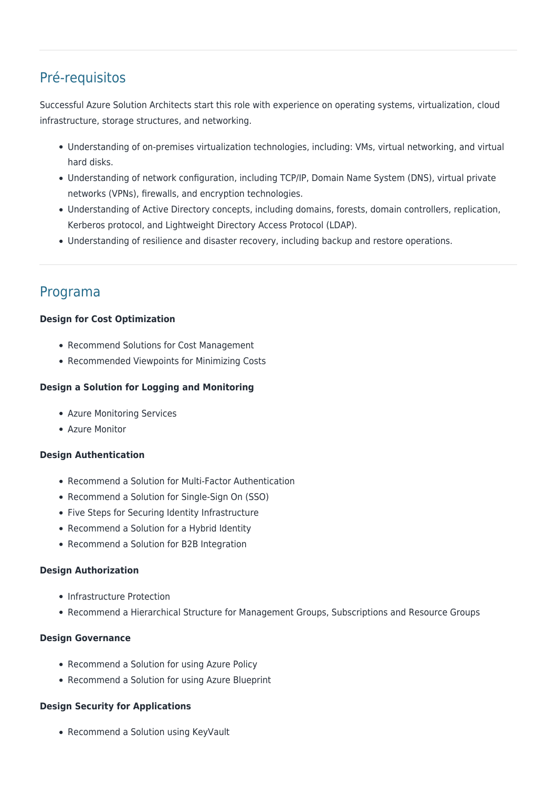# Pré-requisitos

Successful Azure Solution Architects start this role with experience on operating systems, virtualization, cloud infrastructure, storage structures, and networking.

- Understanding of on-premises virtualization technologies, including: VMs, virtual networking, and virtual hard disks.
- Understanding of network configuration, including TCP/IP, Domain Name System (DNS), virtual private networks (VPNs), firewalls, and encryption technologies.
- Understanding of Active Directory concepts, including domains, forests, domain controllers, replication, Kerberos protocol, and Lightweight Directory Access Protocol (LDAP).
- Understanding of resilience and disaster recovery, including backup and restore operations.

## Programa

#### **Design for Cost Optimization**

- Recommend Solutions for Cost Management
- Recommended Viewpoints for Minimizing Costs

#### **Design a Solution for Logging and Monitoring**

- Azure Monitoring Services
- Azure Monitor

#### **Design Authentication**

- Recommend a Solution for Multi-Factor Authentication
- Recommend a Solution for Single-Sign On (SSO)
- Five Steps for Securing Identity Infrastructure
- Recommend a Solution for a Hybrid Identity
- Recommend a Solution for B2B Integration

#### **Design Authorization**

- Infrastructure Protection
- Recommend a Hierarchical Structure for Management Groups, Subscriptions and Resource Groups

#### **Design Governance**

- Recommend a Solution for using Azure Policy
- Recommend a Solution for using Azure Blueprint

#### **Design Security for Applications**

• Recommend a Solution using KeyVault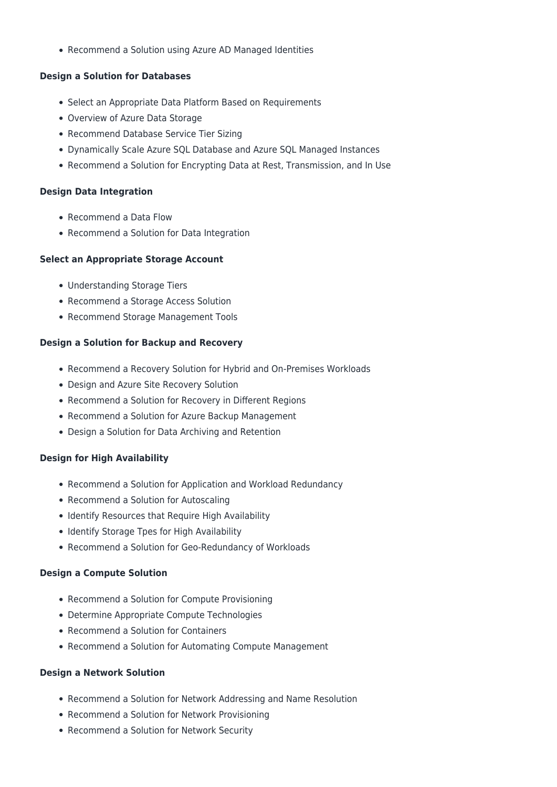• Recommend a Solution using Azure AD Managed Identities

#### **Design a Solution for Databases**

- Select an Appropriate Data Platform Based on Requirements
- Overview of Azure Data Storage
- Recommend Database Service Tier Sizing
- Dynamically Scale Azure SQL Database and Azure SQL Managed Instances
- Recommend a Solution for Encrypting Data at Rest, Transmission, and In Use

#### **Design Data Integration**

- Recommend a Data Flow
- Recommend a Solution for Data Integration

#### **Select an Appropriate Storage Account**

- Understanding Storage Tiers
- Recommend a Storage Access Solution
- Recommend Storage Management Tools

#### **Design a Solution for Backup and Recovery**

- Recommend a Recovery Solution for Hybrid and On-Premises Workloads
- Design and Azure Site Recovery Solution
- Recommend a Solution for Recovery in Different Regions
- Recommend a Solution for Azure Backup Management
- Design a Solution for Data Archiving and Retention

#### **Design for High Availability**

- Recommend a Solution for Application and Workload Redundancy
- Recommend a Solution for Autoscaling
- Identify Resources that Require High Availability
- Identify Storage Tpes for High Availability
- Recommend a Solution for Geo-Redundancy of Workloads

#### **Design a Compute Solution**

- Recommend a Solution for Compute Provisioning
- Determine Appropriate Compute Technologies
- Recommend a Solution for Containers
- Recommend a Solution for Automating Compute Management

#### **Design a Network Solution**

- Recommend a Solution for Network Addressing and Name Resolution
- Recommend a Solution for Network Provisioning
- Recommend a Solution for Network Security